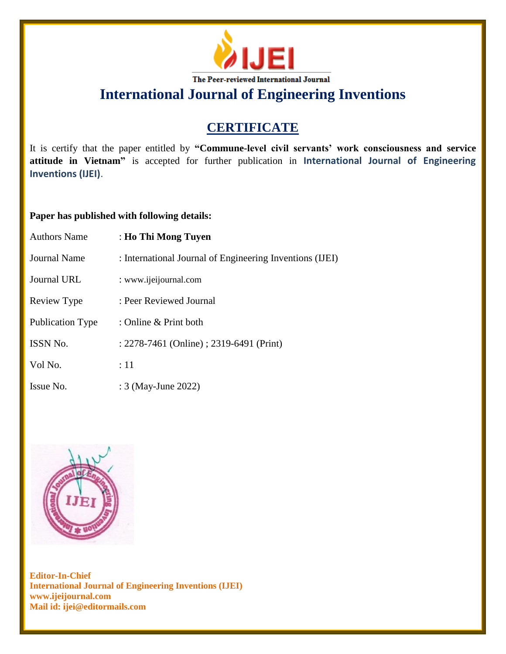

**International Journal of Engineering Inventions**

## **CERTIFICATE**

It is certify that the paper entitled by **"Commune-level civil servants' work consciousness and service attitude in Vietnam"** is accepted for further publication in **International Journal of Engineering Inventions (IJEI)**.

## **Paper has published with following details:**

| <b>Authors Name</b> | : Ho Thi Mong Tuyen                                      |
|---------------------|----------------------------------------------------------|
| <b>Journal Name</b> | : International Journal of Engineering Inventions (IJEI) |
| Journal URL         | : www.ijeijournal.com                                    |
| Review Type         | : Peer Reviewed Journal                                  |
| Publication Type    | : Online & Print both                                    |
| <b>ISSN No.</b>     | : 2278-7461 (Online) ; 2319-6491 (Print)                 |
| Vol No.             | :11                                                      |
| Issue No.           | : 3 (May-June 2022)                                      |



**Editor-In-Chief International Journal of Engineering Inventions (IJEI) www.ijeijournal.com Mail id: ijei@editormails.com**